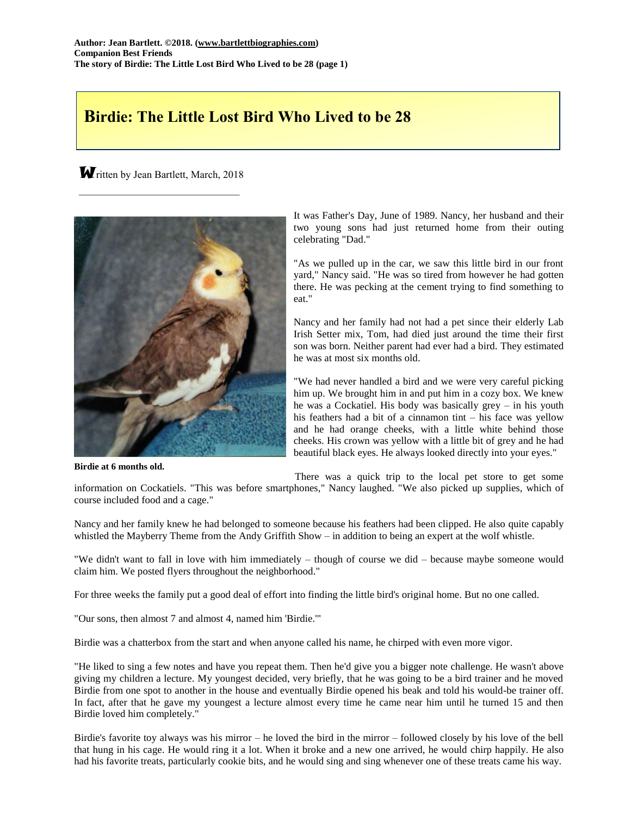## **Birdie: The Little Lost Bird Who Lived to be 28**

Written by Jean Bartlett, March, 2018  $\mathcal{L}_\mathcal{L}$  , where  $\mathcal{L}_\mathcal{L}$  , we have the set of the set of the set of the set of the set of the set of the set of the set of the set of the set of the set of the set of the set of the set of the set of the set



**Birdie at 6 months old.**

It was Father's Day, June of 1989. Nancy, her husband and their two young sons had just returned home from their outing celebrating "Dad."

"As we pulled up in the car, we saw this little bird in our front yard," Nancy said. "He was so tired from however he had gotten there. He was pecking at the cement trying to find something to eat."

Nancy and her family had not had a pet since their elderly Lab Irish Setter mix, Tom, had died just around the time their first son was born. Neither parent had ever had a bird. They estimated he was at most six months old.

"We had never handled a bird and we were very careful picking him up. We brought him in and put him in a cozy box. We knew he was a Cockatiel. His body was basically grey – in his youth his feathers had a bit of a cinnamon tint – his face was yellow and he had orange cheeks, with a little white behind those cheeks. His crown was yellow with a little bit of grey and he had beautiful black eyes. He always looked directly into your eyes."

There was a quick trip to the local pet store to get some information on Cockatiels. "This was before smartphones," Nancy laughed. "We also picked up supplies, which of course included food and a cage."

Nancy and her family knew he had belonged to someone because his feathers had been clipped. He also quite capably whistled the Mayberry Theme from the Andy Griffith Show – in addition to being an expert at the wolf whistle.

"We didn't want to fall in love with him immediately – though of course we did – because maybe someone would claim him. We posted flyers throughout the neighborhood."

For three weeks the family put a good deal of effort into finding the little bird's original home. But no one called.

"Our sons, then almost 7 and almost 4, named him 'Birdie.'"

Birdie was a chatterbox from the start and when anyone called his name, he chirped with even more vigor.

"He liked to sing a few notes and have you repeat them. Then he'd give you a bigger note challenge. He wasn't above giving my children a lecture. My youngest decided, very briefly, that he was going to be a bird trainer and he moved Birdie from one spot to another in the house and eventually Birdie opened his beak and told his would-be trainer off. In fact, after that he gave my youngest a lecture almost every time he came near him until he turned 15 and then Birdie loved him completely."

Birdie's favorite toy always was his mirror – he loved the bird in the mirror – followed closely by his love of the bell that hung in his cage. He would ring it a lot. When it broke and a new one arrived, he would chirp happily. He also had his favorite treats, particularly cookie bits, and he would sing and sing whenever one of these treats came his way.